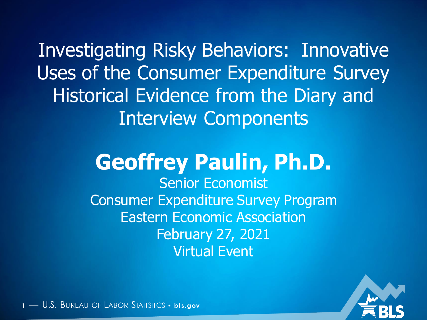Investigating Risky Behaviors: Innovative Uses of the Consumer Expenditure Survey Historical Evidence from the Diary and Interview Components

#### **Geoffrey Paulin, Ph.D.** Senior Economist Consumer Expenditure Survey Program Eastern Economic Association February 27, 2021 Virtual Event

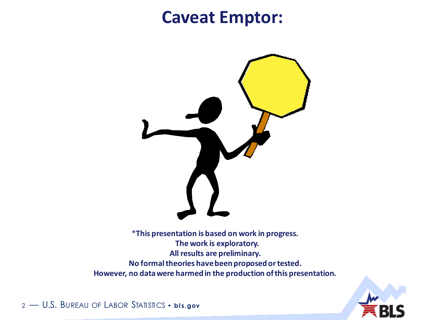#### **Caveat Emptor:**



\***This presentation is based on work in progress. The work is exploratory. All results are preliminary. No formal theories have been proposed or tested. However, no data were harmed in the production of this presentation.**

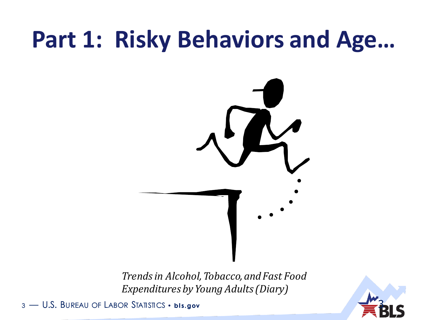## **Part 1: Risky Behaviors and Age…**



*Trends in Alcohol, Tobacco, and Fast Food Expenditures by Young Adults (Diary)* 

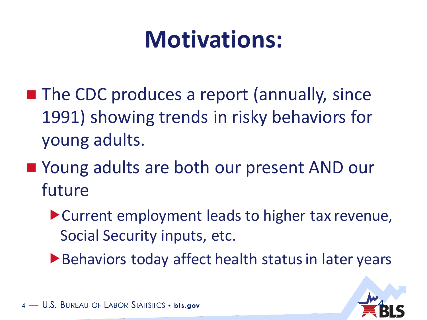## **Motivations:**

- **The CDC produces a report (annually, since** 1991) showing trends in risky behaviors for young adults.
- Young adults are both our present AND our future
	- Current employment leads to higher tax revenue, Social Security inputs, etc.
	- Behaviors today affect health status in later years

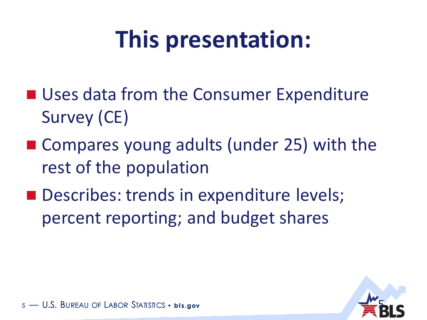## **This presentation:**

- Uses data from the Consumer Expenditure Survey (CE)
- Compares young adults (under 25) with the rest of the population
- Describes: trends in expenditure levels; percent reporting; and budget shares

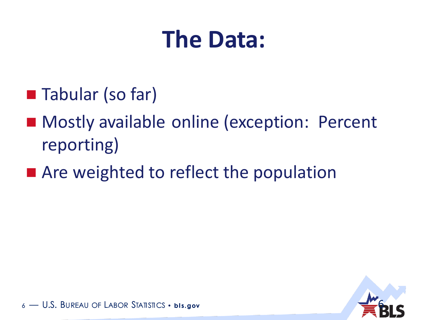## **The Data:**

- Tabular (so far)
- Mostly available online (exception: Percent reporting)
- Are weighted to reflect the population



– U.S. Bureau of Labor Statistics • bis.gov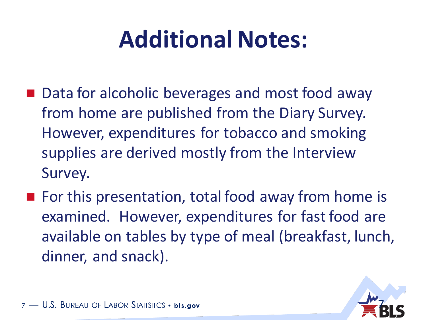## **Additional Notes:**

- Data for alcoholic beverages and most food away from home are published from the Diary Survey. However, expenditures for tobacco and smoking supplies are derived mostly from the Interview Survey.
- For this presentation, total food away from home is examined. However, expenditures for fast food are available on tables by type of meal (breakfast, lunch, dinner, and snack).

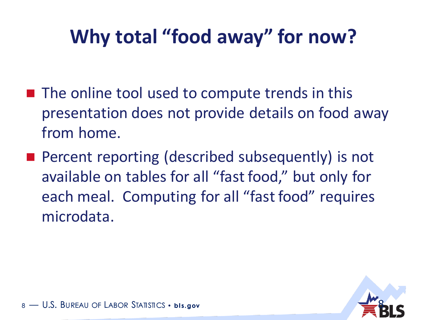#### **Why total "food away" for now?**

- The online tool used to compute trends in this presentation does not provide details on food away from home.
- **Percent reporting (described subsequently) is not** available on tables for all "fast food," but only for each meal. Computing for all "fast food" requires microdata.

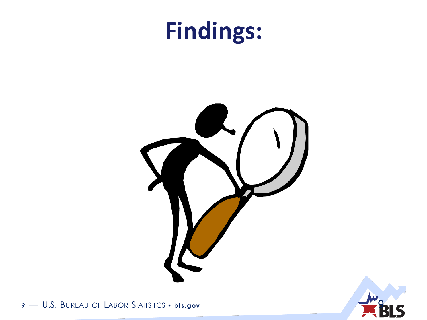### **Findings:**



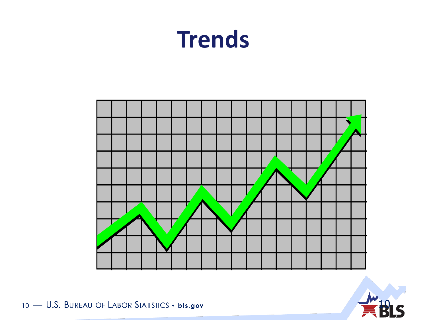### **Trends**



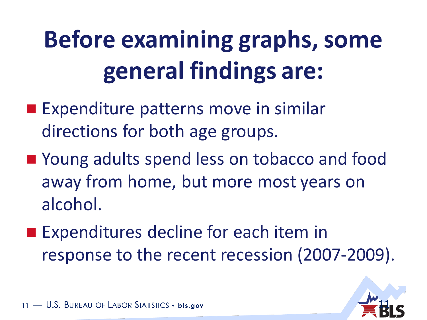# **Before examining graphs, some general findings are:**

- **Expenditure patterns move in similar** directions for both age groups.
- Young adults spend less on tobacco and food away from home, but more most years on alcohol.
- **Expenditures decline for each item in** response to the recent recession (2007-2009).

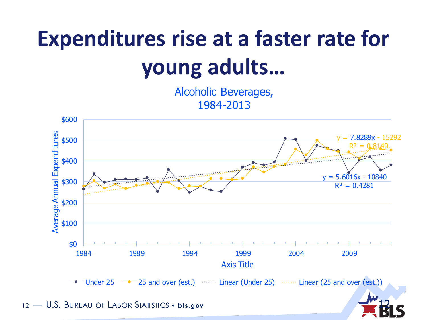## **Expenditures rise at a faster rate for young adults…**

Alcoholic Beverages, 1984-2013

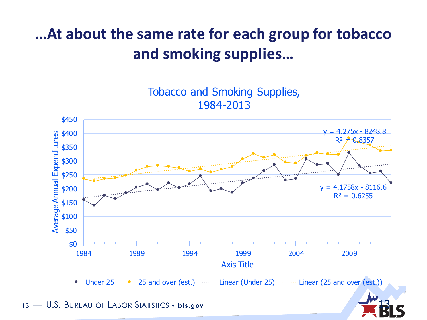#### **…At about the same rate for each group for tobacco and smoking supplies…**

Tobacco and Smoking Supplies, 1984-2013

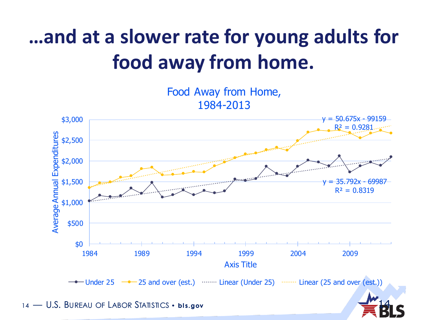#### **…and at a slower rate for young adults for food away from home.**

Food Away from Home, 1984-2013

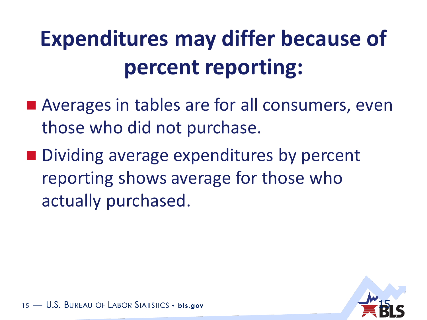## **Expenditures may differ because of percent reporting:**

- Averages in tables are for all consumers, even those who did not purchase.
- Dividing average expenditures by percent reporting shows average for those who actually purchased.

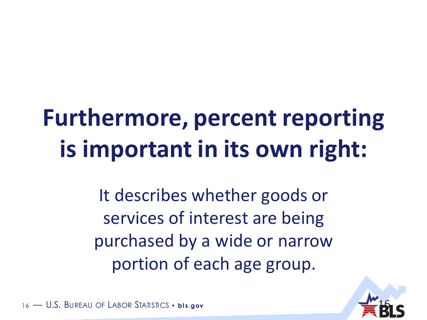## **Furthermore, percent reporting is important in its own right:**

It describes whether goods or services of interest are being purchased by a wide or narrow portion of each age group.

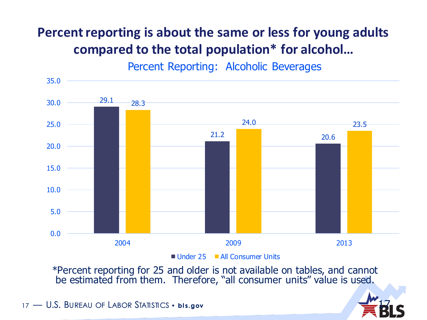#### **Percent reporting is about the same or less for young adults compared to the total population\* for alcohol…**

Percent Reporting: Alcoholic Beverages



Under 25 All Consumer Units

17

\*Percent reporting for 25 and older is not available on tables, and cannot be estimated from them. Therefore, "all consumer units" value is used.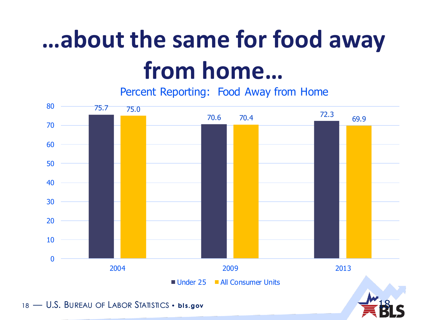# **…about the same for food away from home…**

Percent Reporting: Food Away from Home



18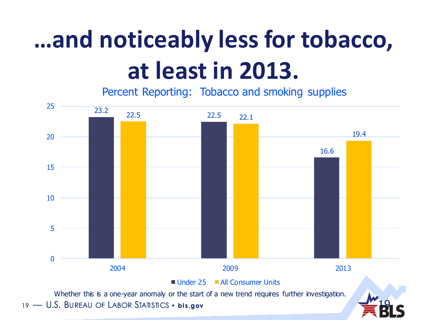# **…and noticeably less for tobacco, at least in 2013.**

Percent Reporting: Tobacco and smoking supplies

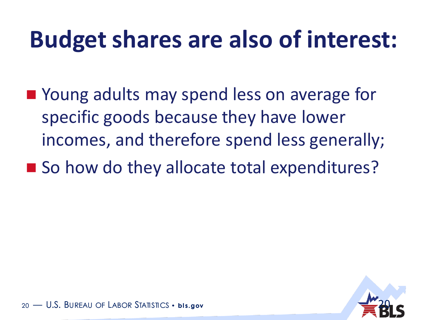## **Budget shares are also of interest:**

- Young adults may spend less on average for specific goods because they have lower incomes, and therefore spend less generally;
- So how do they allocate total expenditures?

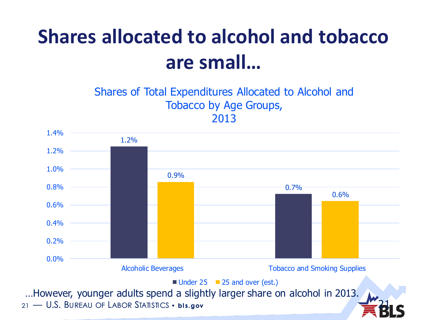#### **Shares allocated to alcohol and tobacco are small…**

#### Shares of Total Expenditures Allocated to Alcohol and Tobacco by Age Groups, 2013

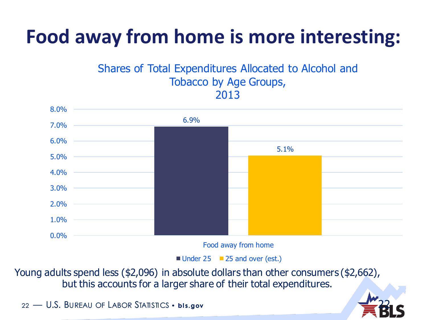#### **Food away from home is more interesting:**

#### Shares of Total Expenditures Allocated to Alcohol and Tobacco by Age Groups, 2013



Food away from home

22

Under 25 25 and over (est.)

Young adults spend less (\$2,096) in absolute dollars than other consumers (\$2,662), but this accounts for a larger share of their total expenditures.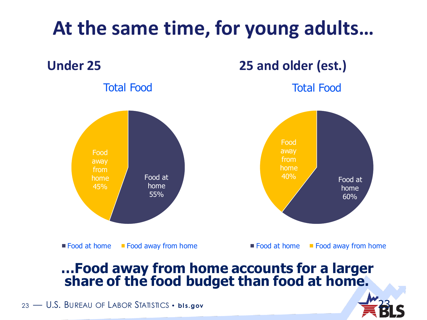

#### **…Food away from home accounts for a larger share of the food budget than food at home.**

23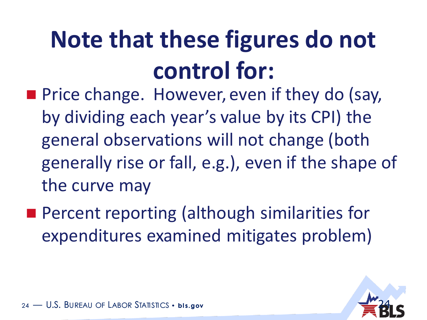# **Note that these figures do not control for:**

- **Price change. However, even if they do (say,** by dividing each year's value by its CPI) the general observations will not change (both generally rise or fall, e.g.), even if the shape of the curve may
- **Percent reporting (although similarities for** expenditures examined mitigates problem)

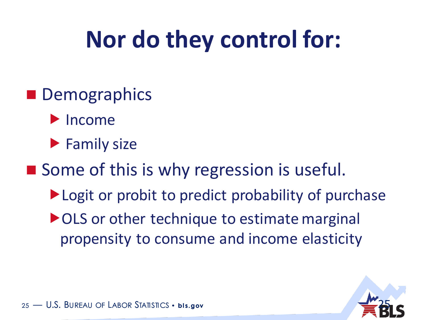## **Nor do they control for:**

- **Demographics** 
	- $\blacktriangleright$  Income
	- $\blacktriangleright$  Family size
- Some of this is why regression is useful.
	- ▶ Logit or probit to predict probability of purchase
	- ▶ OLS or other technique to estimate marginal propensity to consume and income elasticity

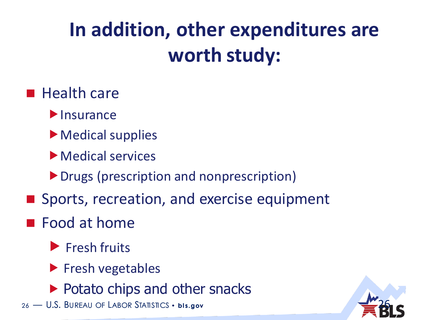### **In addition, other expenditures are worth study:**

#### $\blacksquare$  Health care

- $\blacktriangleright$  Insurance
- ▶ Medical supplies
- Medical services
- ▶ Drugs (prescription and nonprescription)
- Sports, recreation, and exercise equipment

#### **Food at home**

- Fresh fruits
- $\blacktriangleright$  Fresh vegetables
- $\blacktriangleright$  Potato chips and other snacks
- 26 U.S. BUREAU OF LABOR STATISTICS · bls.gov

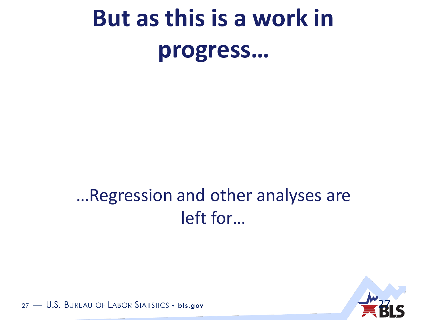# But as this is a work in progress...

#### ... Regression and other analyses are left for...

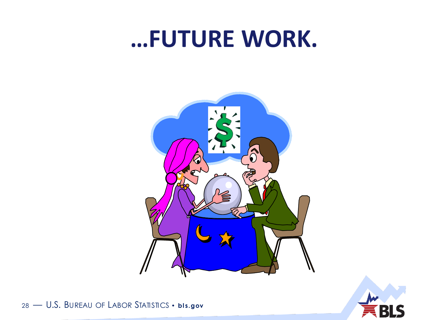#### ...FUTURE WORK.



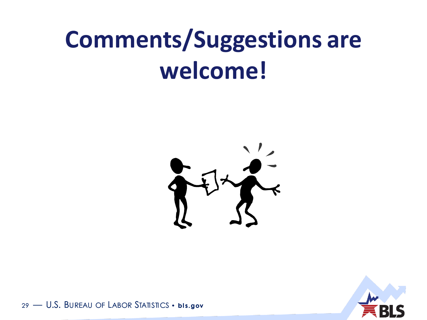## **Comments/Suggestions are** welcome!